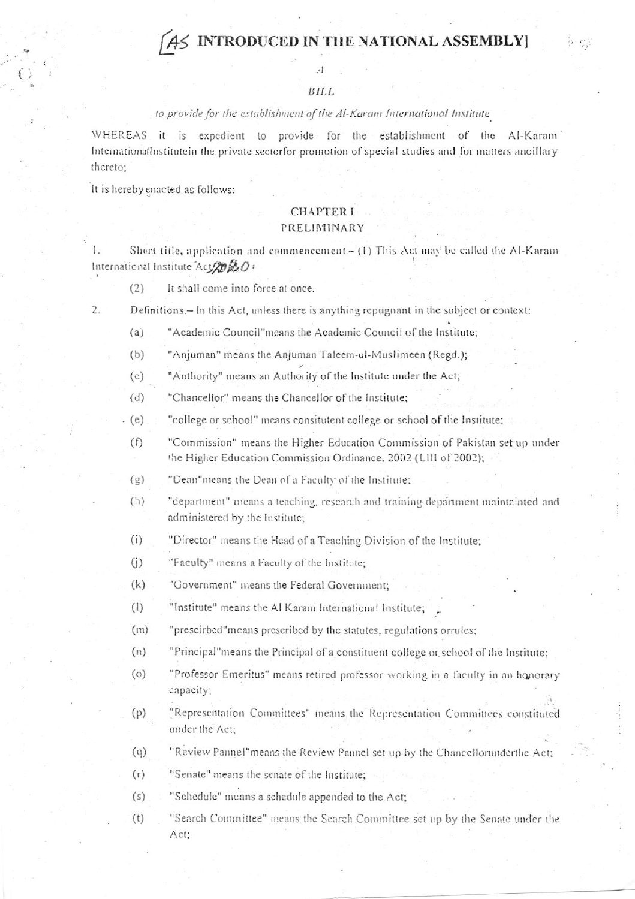# **INTRODUCED IN THE NATIONAL ASSEMBLY]**

#### $BILL$

## to provide for the establishment of the Al-Karam International Institute

WHEREAS it is expedient to provide for the establishment of the Al-Karam International Institute in the private sector for promotion of special studies and for matters ancillary thereto;

It is hereby enacted as follows:

# **CHAPTER I**

## PRELIMINARY

1. Short title, application and commencement.- (1) This Act may be called the Al-Karam International Institute  $Acy2020$ :

It shall come into force at once.  $(2)$ 

Definitions.- In this Act, unless there is anything repugnant in the subject or context:  $\overline{2}$ .

"Academic Council"means the Academic Council of the Institute;  $(a)$ 

 $(b)$ "Anjuman" means the Anjuman Taleem-ul-Muslimeen (Regd.);

"Authority" means an Authority of the Institute under the Act;  $(c)$ 

 $(d)$ "Chancellor" means the Chancellor of the Institute;

 $(e)$ "college or school" means consitutent college or school of the Institute;

- $(f)$ "Commission" means the Higher Education Commission of Pakistan set up under the Higher Education Commission Ordinance, 2002 (LIII of 2002);
- $(2)$ "Dean"means the Dean of a Faculty of the Institute;
- $(h)$ "department" means a teaching, research and training department maintainted and administered by the Institute;
- $(i)$ "Director" means the Head of a Teaching Division of the Institute;
- $(i)$ "Faculty" means a Faculty of the Institute:
- $(k)$ "Government" means the Federal Government:
- $(1)$ "Institute" means the Al Karam International Institute;
- $(m)$ "prescirbed" means prescribed by the statutes, regulations orrules;
- $(n)$ "Principal" means the Principal of a constituent college or school of the Institute:
- "Professor Emeritus" means retired professor working in a faculty in an honorary  $\circ$ capacity;
- $(p)$ "Representation Committees" means the Representation Committees constituted under the Act:
- $(q)$ "Review Pannel"means the Review Pannel set up by the Chancellorunderthe Act;
- "Senate" means the senate of the Institute;  $(r)$
- $(s)$ "Schedule" means a schedule appended to the Act;
- "Search Committee" means the Search Committee set up by the Senate under the  $(t)$ Act: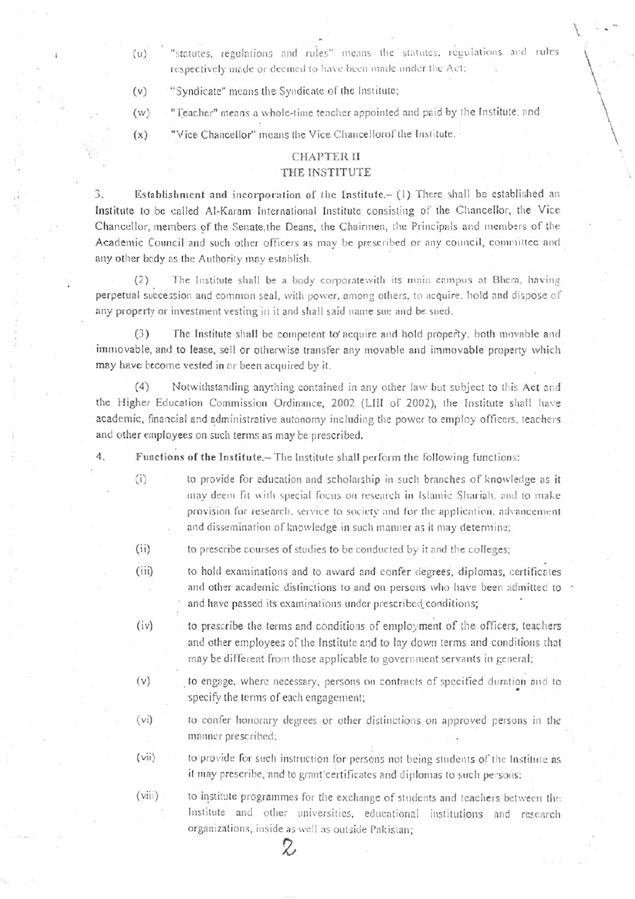- "statutes, regulations and rules" means the statutes, regulations and rules respectively made or deemed to have been made under the Act;
- "Syndicate" means the Syndicate of the Institute;  $(v)$

 $(u)$ 

- "Teacher" means a whole-time teacher appointed and paid by the Institute; and  $(w)$
- "Vice Chancellor" means the Vice Chancellorof the Institute.  $(x)$

## **CHAPTER II**

## THE INSTITUTE

Establishment and incorporation of the Institute.- (1) There shall be established an 3. Institute to be called Al-Karam International Institute consisting of the Chancellor, the Vice Chancellor, members of the Senate, the Deans, the Chairmen, the Principals and members of the Academic Council and such other officers as may be prescribed or any council, committee and any other body as the Authority may establish.

The Institute shall be a body corporate with its main campus at Bhera, having  $(2)$ perpetual succession and common seal, with power, among others, to acquire, hold and dispose of any property or investment vesting in it and shall said name sue and be sued.

The Institute shall be competent to acquire and hold property, both movable and  $(3)$ immovable, and to lease, sell or otherwise transfer any movable and immovable property which may have become vested in or been acquired by it.

Notwithstanding anything contained in any other law but subject to this Act and  $(4)$ the Higher Education Commission Ordinance, 2002 (LIII of 2002), the Institute shall have academic, financial and administrative autonomy including the power to employ officers, teachers and other employees on such terms as may be prescribed.

 $4.$ Functions of the Institute.- The Institute shall perform the following functions:

- $(i)$ to provide for education and scholarship in such branches of knowledge as it may deem fit with special focus on research in Islamic Shariah, and to make provision for research, service to society and for the application, advancement and dissemination of knowledge in such manner as it may determine;
- $(i)$ to prescribe courses of studies to be conducted by it and the colleges;
- $(iii)$ to hold examinations and to award and confer degrees, diplomas, certificates and other academic distinctions to and on persons who have been admitted to and have passed its examinations under prescribed conditions;
- $(iv)$ to prescribe the terms and conditions of employment of the officers, teachers and other employees of the Institute and to lay down terms and conditions that may be different from those applicable to government servants in general;
- $(v)$ to engage, where necessary, persons on contracts of specified duration and to specify the terms of each engagement;
- $(v_i)$ to confer honorary degrees or other distinctions on approved persons in the manner prescribed;
- $(vii)$ to provide for such instruction for persons not being students of the Institute as it may prescribe, and to grant certificates and diplomas to such persons:
- $(viii)$ to institute programmes for the exchange of students and teachers between the Institute and other universities, educational institutions and research organizations, inside as well as outside Pakistan;

Z,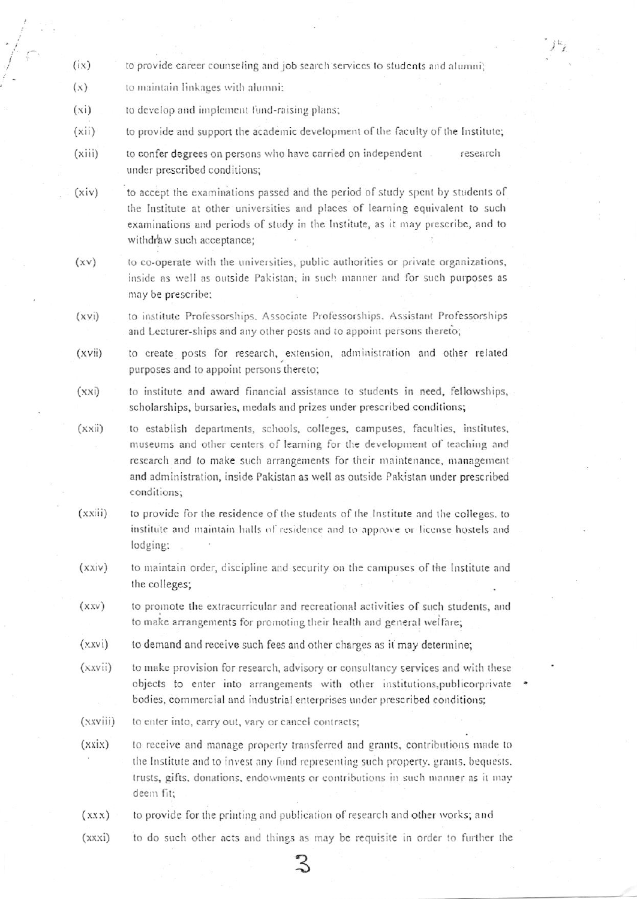- $(ix)$ to provide career counseling and job search services to students and alumni;
- $(x)$ to maintain linkages with alumni:
- $(x_i)$ to develop and implement fund-raising plans;
- $(xii)$ to provide and support the academic development of the faculty of the Institute;
- $(xiii)$ to confer degrees on persons who have carried on independent research under prescribed conditions;
- to accept the examinations passed and the period of study spent by students of  $(xiv)$ the Institute at other universities and places of learning equivalent to such examinations and periods of study in the Institute, as it may prescribe, and to withdraw such acceptance:
- to co-operate with the universities, public authorities or private organizations,  $(xv)$ inside as well as outside Pakistan, in such manner and for such purposes as may be prescribe:
- to institute Professorships, Associate Professorships, Assistant Professorships  $(xvi)$ and Lecturer-ships and any other posts and to appoint persons thereto;
- to create posts for research, extension, administration and other related  $(xvii)$ purposes and to appoint persons thereto;
- $(xxi)$ to institute and award financial assistance to students in need, fellowships, scholarships, bursaries, medals and prizes under prescribed conditions;
- $(xxiii)$ to establish departments, schools, colleges, campuses, faculties, institutes, museums and other centers of learning for the development of teaching and research and to make such arrangements for their maintenance, management and administration, inside Pakistan as well as outside Pakistan under prescribed conditions;
- $(xxiii)$ to provide for the residence of the students of the Institute and the colleges, to institute and maintain halls of residence and to approve or license hostels and lodging:
- $(xxiv)$ to maintain order, discipline and security on the campuses of the Institute and the colleges;
- $(xxv)$ to promote the extracurricular and recreational activities of such students, and to make arrangements for promoting their health and general welfare;
- $(xxyi)$ to demand and receive such fees and other charges as it may determine;
- $(xxvii)$ to make provision for research, advisory or consultancy services and with these objects to enter into arrangements with other institutions, publicorprivate bodies, commercial and industrial enterprises under prescribed conditions;
- $(xxviii)$ to enter into, carry out, vary or cancel contracts;
- $(xxix)$ to receive and manage property transferred and grants, contributions made to the Institute and to invest any fund representing such property, grants, bequests, trusts, gifts, donations, endowments or contributions in such manner as it may deem fit;
- to provide for the printing and publication of research and other works; and  $(XXX)$
- to do such other acts and things as may be requisite in order to further the  $(xxxi)$ 
	-